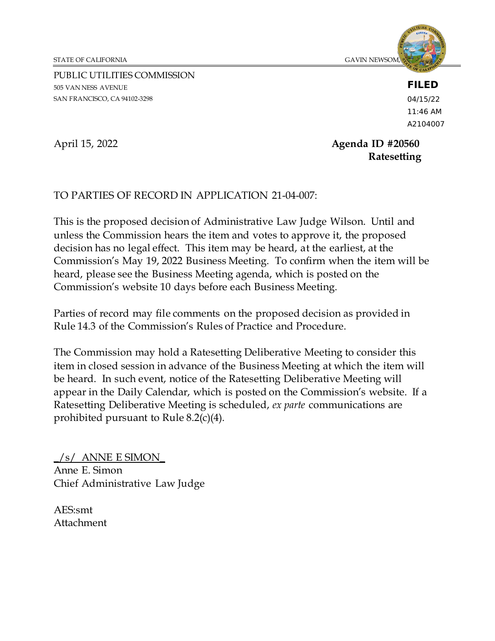STATE OF CALIFORNIA GAVIN NEWSOM, *Governor*

PUBLIC UTILITIES COMMISSION 505 VAN NESS AVENUE SAN FRANCISCO, CA 94102-3298



## **FILED**

04/15/22 11:46 AM A2104007

April 15, 2022 **Agenda ID #20560 Ratesetting**

## TO PARTIES OF RECORD IN APPLICATION 21-04-007:

This is the proposed decision of Administrative Law Judge Wilson. Until and unless the Commission hears the item and votes to approve it, the proposed decision has no legal effect. This item may be heard, at the earliest, at the Commission's May 19, 2022 Business Meeting. To confirm when the item will be heard, please see the Business Meeting agenda, which is posted on the Commission's website 10 days before each Business Meeting.

Parties of record may file comments on the proposed decision as provided in Rule 14.3 of the Commission's Rules of Practice and Procedure.

The Commission may hold a Ratesetting Deliberative Meeting to consider this item in closed session in advance of the Business Meeting at which the item will be heard. In such event, notice of the Ratesetting Deliberative Meeting will appear in the Daily Calendar, which is posted on the Commission's website. If a Ratesetting Deliberative Meeting is scheduled, *ex parte* communications are prohibited pursuant to Rule 8.2(c)(4).

 $\frac{1}{s}$  ANNE E SIMON Anne E. Simon Chief Administrative Law Judge

AES:smt Attachment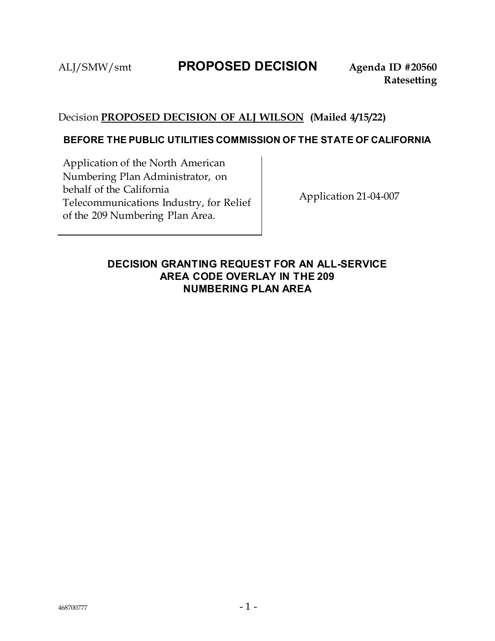## ALJ/SMW/smt **PROPOSED DECISION Agenda ID #20560**

## Decision **PROPOSED DECISION OF ALJ WILSON (Mailed 4/15/22)**

## **BEFORE THE PUBLIC UTILITIES COMMISSION OF THE STATE OF CALIFORNIA**

Application of the North American Numbering Plan Administrator, on behalf of the California Telecommunications Industry, for Relief of the 209 Numbering Plan Area.

Application 21-04-007

## **DECISION GRANTING REQUEST FOR AN ALL-SERVICE AREA CODE OVERLAY IN THE 209 NUMBERING PLAN AREA**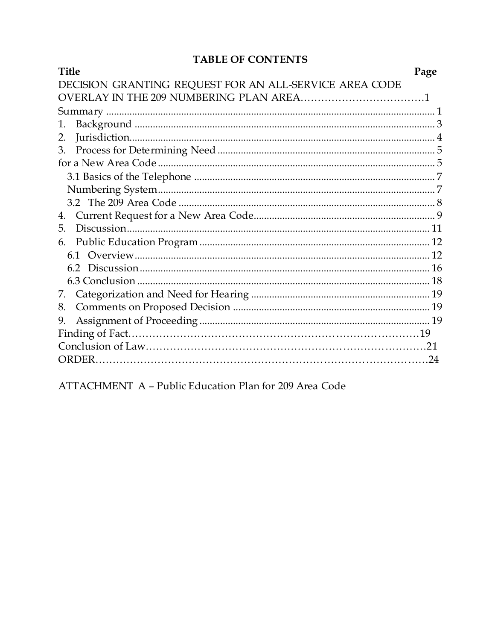## TABLE OF CONTENTS

| <b>Title</b>                                           | Page |
|--------------------------------------------------------|------|
| DECISION GRANTING REQUEST FOR AN ALL-SERVICE AREA CODE |      |
|                                                        |      |
|                                                        |      |
| 1.                                                     |      |
| 2.                                                     |      |
| 3.                                                     |      |
|                                                        |      |
|                                                        |      |
|                                                        |      |
|                                                        |      |
| 4.                                                     |      |
| 5.                                                     |      |
| 6.                                                     |      |
|                                                        |      |
|                                                        |      |
|                                                        |      |
| 7.                                                     |      |
| 8.                                                     |      |
| 9.                                                     |      |
|                                                        |      |
|                                                        |      |
|                                                        | .24  |

ATTACHMENT A - Public Education Plan for 209 Area Code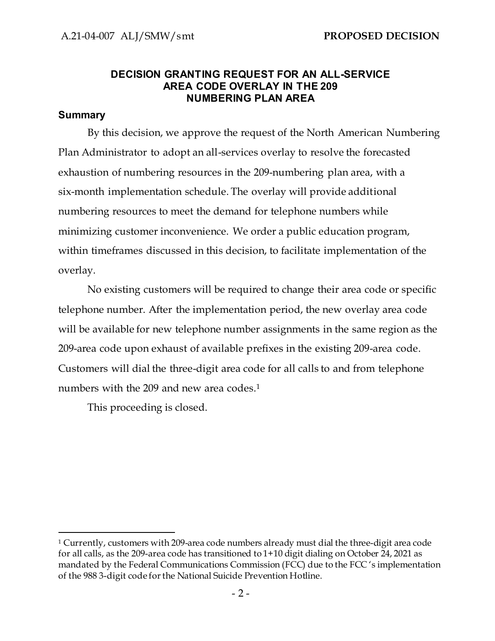## **DECISION GRANTING REQUEST FOR AN ALL-SERVICE AREA CODE OVERLAY IN THE 209 NUMBERING PLAN AREA**

## <span id="page-3-0"></span>**Summary**

By this decision, we approve the request of the North American Numbering Plan Administrator to adopt an all-services overlay to resolve the forecasted exhaustion of numbering resources in the 209-numbering plan area, with a six-month implementation schedule. The overlay will provide additional numbering resources to meet the demand for telephone numbers while minimizing customer inconvenience. We order a public education program, within timeframes discussed in this decision, to facilitate implementation of the overlay.

No existing customers will be required to change their area code or specific telephone number. After the implementation period, the new overlay area code will be available for new telephone number assignments in the same region as the 209-area code upon exhaust of available prefixes in the existing 209-area code. Customers will dial the three-digit area code for all calls to and from telephone numbers with the 209 and new area codes.<sup>1</sup>

This proceeding is closed.

<sup>1</sup> Currently, customers with 209-area code numbers already must dial the three-digit area code for all calls, as the 209-area code has transitioned to 1+10 digit dialing on October 24, 2021 as mandated by the Federal Communications Commission (FCC) due to the FCC 's implementation of the 988 3-digit code for the National Suicide Prevention Hotline.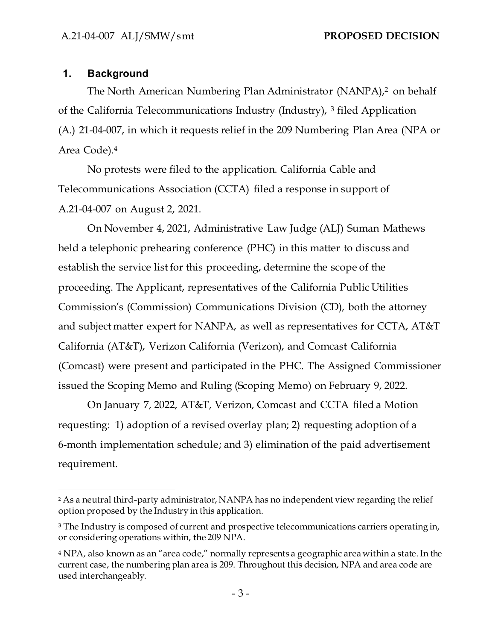## <span id="page-4-0"></span>**1. Background**

The North American Numbering Plan Administrator (NANPA),<sup>2</sup> on behalf of the California Telecommunications Industry (Industry), <sup>3</sup> filed Application (A.) 21-04-007, in which it requests relief in the 209 Numbering Plan Area (NPA or Area Code).<sup>4</sup>

No protests were filed to the application. California Cable and Telecommunications Association (CCTA) filed a response in support of A.21-04-007 on August 2, 2021.

On November 4, 2021, Administrative Law Judge (ALJ) Suman Mathews held a telephonic prehearing conference (PHC) in this matter to discuss and establish the service list for this proceeding, determine the scope of the proceeding. The Applicant, representatives of the California Public Utilities Commission's (Commission) Communications Division (CD), both the attorney and subject matter expert for NANPA, as well as representatives for CCTA, AT&T California (AT&T), Verizon California (Verizon), and Comcast California (Comcast) were present and participated in the PHC. The Assigned Commissioner issued the Scoping Memo and Ruling (Scoping Memo) on February 9, 2022.

On January 7, 2022, AT&T, Verizon, Comcast and CCTA filed a Motion requesting: 1) adoption of a revised overlay plan; 2) requesting adoption of a 6-month implementation schedule; and 3) elimination of the paid advertisement requirement.

<sup>2</sup> As a neutral third-party administrator, NANPA has no independent view regarding the relief option proposed by the Industry in this application.

<sup>&</sup>lt;sup>3</sup> The Industry is composed of current and prospective telecommunications carriers operating in, or considering operations within, the 209 NPA.

<sup>4</sup> NPA, also known as an "area code," normally represents a geographic area within a state. In the current case, the numbering plan area is 209. Throughout this decision, NPA and area code are used interchangeably.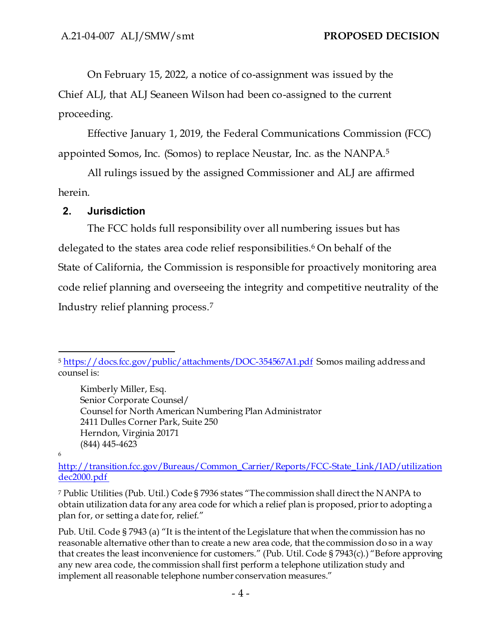On February 15, 2022, a notice of co-assignment was issued by the Chief ALJ, that ALJ Seaneen Wilson had been co-assigned to the current proceeding.

Effective January 1, 2019, the Federal Communications Commission (FCC) appointed Somos, Inc. (Somos) to replace Neustar, Inc. as the NANPA.<sup>5</sup>

All rulings issued by the assigned Commissioner and ALJ are affirmed herein.

## <span id="page-5-0"></span>**2. Jurisdiction**

The FCC holds full responsibility over all numbering issues but has delegated to the states area code relief responsibilities.<sup>6</sup> On behalf of the State of California, the Commission is responsible for proactively monitoring area code relief planning and overseeing the integrity and competitive neutrality of the Industry relief planning process.<sup>7</sup>

Kimberly Miller, Esq. Senior Corporate Counsel/ Counsel for North American Numbering Plan Administrator 2411 Dulles Corner Park, Suite 250 Herndon, Virginia 20171 (844) 445-4623

#### 6

<sup>7</sup> Public Utilities (Pub. Util.) Code § 7936 states "The commission shall direct the NANPA to obtain utilization data for any area code for which a relief plan is proposed, prior to adopting a plan for, or setting a date for, relief."

Pub. Util. Code § 7943 (a) "It is the intent of the Legislature that when the commission has no reasonable alternative other than to create a new area code, that the commission do so in a way that creates the least inconvenience for customers." (Pub. Util. Code § 7943(c).) "Before approving any new area code, the commission shall first perform a telephone utilization study and implement all reasonable telephone number conservation measures."

<sup>5</sup> <https://docs.fcc.gov/public/attachments/DOC-354567A1.pdf> Somos mailing address and counsel is:

[http://transition.fcc.gov/Bureaus/Common\\_Carrier/Reports/FCC-State\\_Link/IAD/utilization](about:blank) [dec2000.pdf](about:blank)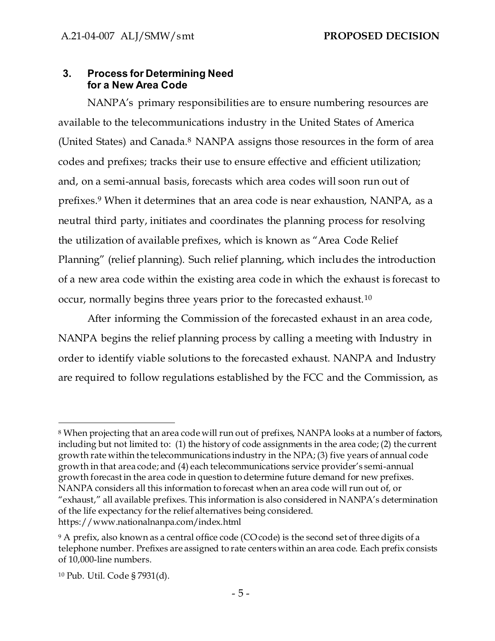## <span id="page-6-1"></span><span id="page-6-0"></span>**3. Process for Determining Need for a New Area Code**

NANPA's primary responsibilities are to ensure numbering resources are available to the telecommunications industry in the United States of America (United States) and Canada.<sup>8</sup> NANPA assigns those resources in the form of area codes and prefixes; tracks their use to ensure effective and efficient utilization; and, on a semi-annual basis, forecasts which area codes will soon run out of prefixes.<sup>9</sup> When it determines that an area code is near exhaustion, NANPA, as a neutral third party, initiates and coordinates the planning process for resolving the utilization of available prefixes, which is known as "Area Code Relief Planning" (relief planning). Such relief planning, which includes the introduction of a new area code within the existing area code in which the exhaust is forecast to occur, normally begins three years prior to the forecasted exhaust.<sup>10</sup>

After informing the Commission of the forecasted exhaust in an area code, NANPA begins the relief planning process by calling a meeting with Industry in order to identify viable solutions to the forecasted exhaust. NANPA and Industry are required to follow regulations established by the FCC and the Commission, as

<sup>8</sup> When projecting that an area code will run out of prefixes, NANPA looks at a number of factors, including but not limited to: (1) the history of code assignments in the area code; (2) the current growth rate within the telecommunications industry in the NPA; (3) five years of annual code growth in that area code; and (4) each telecommunications service provider's semi-annual growth forecast in the area code in question to determine future demand for new prefixes. NANPA considers all this information to forecast when an area code will run out of, or "exhaust," all available prefixes. This information is also considered in NANPA's determination of the life expectancy for the relief alternatives being considered. https://www.nationalnanpa.com/index.html

<sup>&</sup>lt;sup>9</sup> A prefix, also known as a central office code (CO code) is the second set of three digits of a telephone number. Prefixes are assigned to rate centers within an area code. Each prefix consists of 10,000-line numbers.

<sup>10</sup> Pub. Util. Code § 7931(d).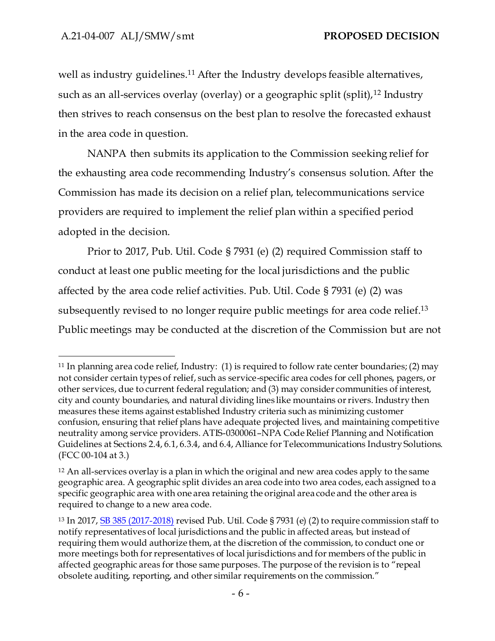well as industry guidelines.<sup>11</sup> After the Industry develops feasible alternatives, such as an all-services overlay (overlay) or a geographic split (split),<sup>12</sup> Industry then strives to reach consensus on the best plan to resolve the forecasted exhaust in the area code in question.

NANPA then submits its application to the Commission seeking relief for the exhausting area code recommending Industry's consensus solution. After the Commission has made its decision on a relief plan, telecommunications service providers are required to implement the relief plan within a specified period adopted in the decision.

Prior to 2017, Pub. Util. Code § 7931 (e) (2) required Commission staff to conduct at least one public meeting for the local jurisdictions and the public affected by the area code relief activities. Pub. Util. Code § 7931 (e) (2) was subsequently revised to no longer require public meetings for area code relief. 13 Public meetings may be conducted at the discretion of the Commission but are not

<sup>11</sup> In planning area code relief, Industry: (1) is required to follow rate center boundaries; (2) may not consider certain types of relief, such as service-specific area codes for cell phones, pagers, or other services, due to current federal regulation; and (3) may consider communities of interest, city and county boundaries, and natural dividing lines like mountains or rivers. Industry then measures these items against established Industry criteria such as minimizing customer confusion, ensuring that relief plans have adequate projected lives, and maintaining competitive neutrality among service providers. ATIS-0300061–NPA Code Relief Planning and Notification Guidelines at Sections 2.4, 6.1, 6.3.4, and 6.4, Alliance for Telecommunications Industry Solutions. (FCC 00-104 at 3.)

<sup>12</sup> An all-services overlay is a plan in which the original and new area codes apply to the same geographic area. A geographic split divides an area code into two area codes, each assigned to a specific geographic area with one area retaining the original area code and the other area is required to change to a new area code.

<sup>13</sup> In 2017[, SB 385 \(2017-2018\)](about:blank) revised Pub. Util. Code § 7931 (e) (2) to require commission staff to notify representatives of local jurisdictions and the public in affected areas, but instead of requiring them would authorize them, at the discretion of the commission, to conduct one or more meetings both for representatives of local jurisdictions and for members of the public in affected geographic areas for those same purposes. The purpose of the revision is to "repeal obsolete auditing, reporting, and other similar requirements on the commission."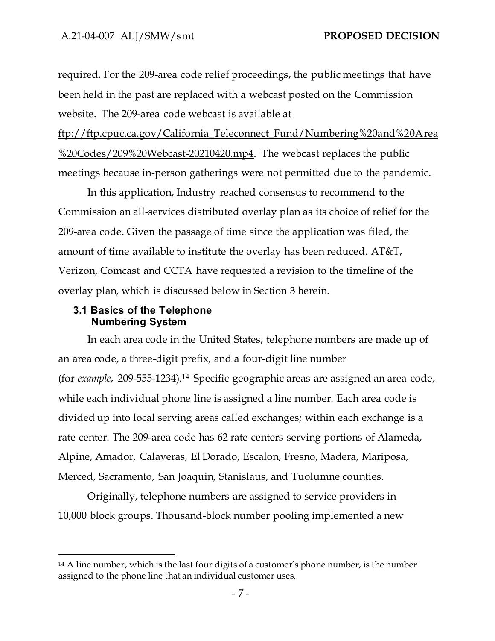required. For the 209-area code relief proceedings, the public meetings that have been held in the past are replaced with a webcast posted on the Commission website. The 209-area code webcast is available at

ftp://ftp.cpuc.ca.gov/California\_Teleconnect\_Fund/Numbering%20and%20Area %20Codes/209%20Webcast-20210420.mp4. The webcast replaces the public meetings because in-person gatherings were not permitted due to the pandemic.

In this application, Industry reached consensus to recommend to the Commission an all-services distributed overlay plan as its choice of relief for the 209-area code. Given the passage of time since the application was filed, the amount of time available to institute the overlay has been reduced. AT&T, Verizon, Comcast and CCTA have requested a revision to the timeline of the overlay plan, which is discussed below in Section 3 herein.

#### <span id="page-8-0"></span>**3.1 Basics of the Telephone Numbering System**

<span id="page-8-1"></span>In each area code in the United States, telephone numbers are made up of an area code, a three-digit prefix, and a four-digit line number (for *example*, 209-555-1234).<sup>14</sup> Specific geographic areas are assigned an area code, while each individual phone line is assigned a line number. Each area code is divided up into local serving areas called exchanges; within each exchange is a rate center. The 209-area code has 62 rate centers serving portions of Alameda, Alpine, Amador, Calaveras, El Dorado, Escalon, Fresno, Madera, Mariposa, Merced, Sacramento, San Joaquin, Stanislaus, and Tuolumne counties.

Originally, telephone numbers are assigned to service providers in 10,000 block groups. Thousand-block number pooling implemented a new

<sup>14</sup> A line number, which is the last four digits of a customer's phone number, is the number assigned to the phone line that an individual customer uses.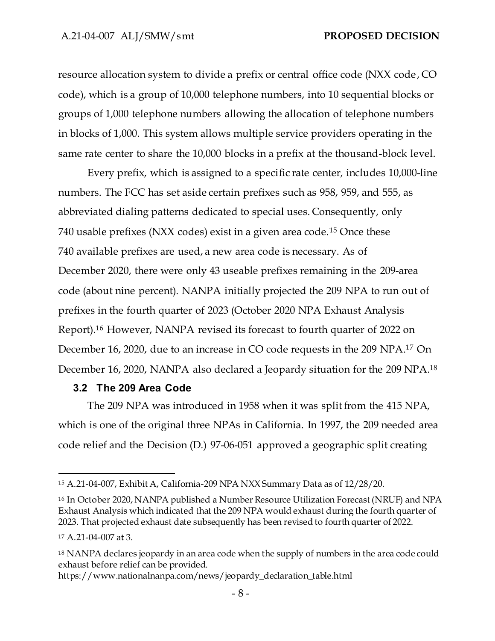resource allocation system to divide a prefix or central office code (NXX code, CO code), which is a group of 10,000 telephone numbers, into 10 sequential blocks or groups of 1,000 telephone numbers allowing the allocation of telephone numbers in blocks of 1,000. This system allows multiple service providers operating in the same rate center to share the 10,000 blocks in a prefix at the thousand-block level.

Every prefix, which is assigned to a specific rate center, includes 10,000-line numbers. The FCC has set aside certain prefixes such as 958, 959, and 555, as abbreviated dialing patterns dedicated to special uses. Consequently, only 740 usable prefixes (NXX codes) exist in a given area code.<sup>15</sup> Once these 740 available prefixes are used, a new area code is necessary. As of December 2020, there were only 43 useable prefixes remaining in the 209-area code (about nine percent). NANPA initially projected the 209 NPA to run out of prefixes in the fourth quarter of 2023 (October 2020 NPA Exhaust Analysis Report). <sup>16</sup> However, NANPA revised its forecast to fourth quarter of 2022 on December 16, 2020, due to an increase in CO code requests in the 209 NPA. <sup>17</sup> On December 16, 2020, NANPA also declared a Jeopardy situation for the 209 NPA. 18

#### <span id="page-9-0"></span>**3.2 The 209 Area Code**

The 209 NPA was introduced in 1958 when it was split from the 415 NPA, which is one of the original three NPAs in California. In 1997, the 209 needed area code relief and the Decision (D.) 97-06-051 approved a geographic split creating

<sup>15</sup> A.21-04-007, Exhibit A, California-209 NPA NXX Summary Data as of 12/28/20.

<sup>16</sup> In October 2020, NANPA published a Number Resource Utilization Forecast (NRUF) and NPA Exhaust Analysis which indicated that the 209 NPA would exhaust during the fourth quarter of 2023. That projected exhaust date subsequently has been revised to fourth quarter of 2022.

<sup>17</sup> A.21-04-007 at 3.

<sup>18</sup> NANPA declares jeopardy in an area code when the supply of numbers in the area code could exhaust before relief can be provided.

https://www.nationalnanpa.com/news/jeopardy\_declaration\_table.html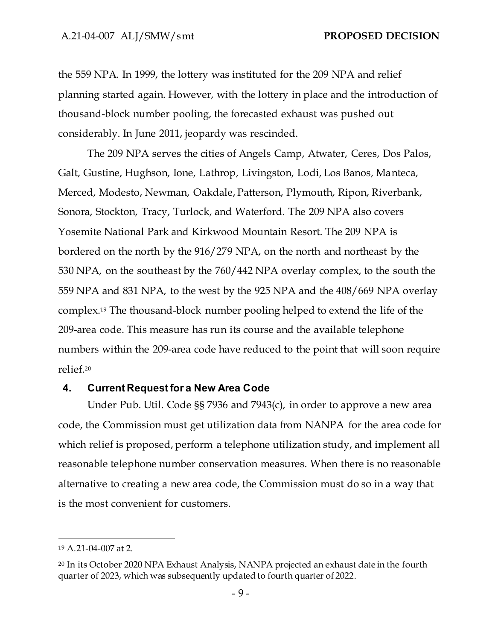the 559 NPA. In 1999, the lottery was instituted for the 209 NPA and relief planning started again. However, with the lottery in place and the introduction of thousand-block number pooling, the forecasted exhaust was pushed out considerably. In June 2011, jeopardy was rescinded.

The 209 NPA serves the cities of Angels Camp, Atwater, Ceres, Dos Palos, Galt, Gustine, Hughson, Ione, Lathrop, Livingston, Lodi, Los Banos, Manteca, Merced, Modesto, Newman, Oakdale, Patterson, Plymouth, Ripon, Riverbank, Sonora, Stockton, Tracy, Turlock, and Waterford. The 209 NPA also covers Yosemite National Park and Kirkwood Mountain Resort. The 209 NPA is bordered on the north by the 916/279 NPA, on the north and northeast by the 530 NPA, on the southeast by the 760/442 NPA overlay complex, to the south the 559 NPA and 831 NPA, to the west by the 925 NPA and the 408/669 NPA overlay complex. <sup>19</sup> The thousand-block number pooling helped to extend the life of the 209-area code. This measure has run its course and the available telephone numbers within the 209-area code have reduced to the point that will soon require relief.<sup>20</sup>

#### <span id="page-10-0"></span>**4. Current Request for a New Area Code**

Under Pub. Util. Code §§ 7936 and 7943(c), in order to approve a new area code, the Commission must get utilization data from NANPA for the area code for which relief is proposed, perform a telephone utilization study, and implement all reasonable telephone number conservation measures. When there is no reasonable alternative to creating a new area code, the Commission must do so in a way that is the most convenient for customers.

<sup>19</sup> A.21-04-007 at 2.

<sup>20</sup> In its October 2020 NPA Exhaust Analysis, NANPA projected an exhaust date in the fourth quarter of 2023, which was subsequently updated to fourth quarter of 2022.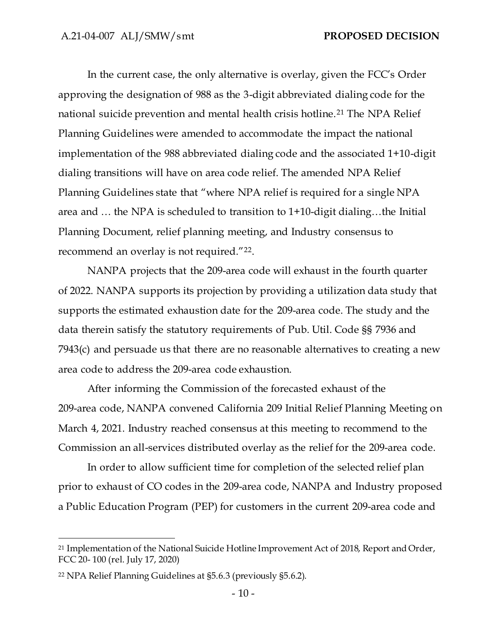In the current case, the only alternative is overlay, given the FCC's Order approving the designation of 988 as the 3-digit abbreviated dialing code for the national suicide prevention and mental health crisis hotline.<sup>21</sup> The NPA Relief Planning Guidelines were amended to accommodate the impact the national implementation of the 988 abbreviated dialing code and the associated 1+10-digit dialing transitions will have on area code relief. The amended NPA Relief Planning Guidelines state that "where NPA relief is required for a single NPA area and … the NPA is scheduled to transition to 1+10-digit dialing…the Initial Planning Document, relief planning meeting, and Industry consensus to recommend an overlay is not required."<sup>22</sup>.

NANPA projects that the 209-area code will exhaust in the fourth quarter of 2022. NANPA supports its projection by providing a utilization data study that supports the estimated exhaustion date for the 209-area code. The study and the data therein satisfy the statutory requirements of Pub. Util. Code §§ 7936 and 7943(c) and persuade us that there are no reasonable alternatives to creating a new area code to address the 209-area code exhaustion.

After informing the Commission of the forecasted exhaust of the 209-area code, NANPA convened California 209 Initial Relief Planning Meeting on March 4, 2021. Industry reached consensus at this meeting to recommend to the Commission an all-services distributed overlay as the relief for the 209-area code.

In order to allow sufficient time for completion of the selected relief plan prior to exhaust of CO codes in the 209-area code, NANPA and Industry proposed a Public Education Program (PEP) for customers in the current 209-area code and

<sup>21</sup> Implementation of the National Suicide Hotline Improvement Act of 2018, Report and Order, FCC 20- 100 (rel. July 17, 2020)

<sup>22</sup> NPA Relief Planning Guidelines at §5.6.3 (previously §5.6.2).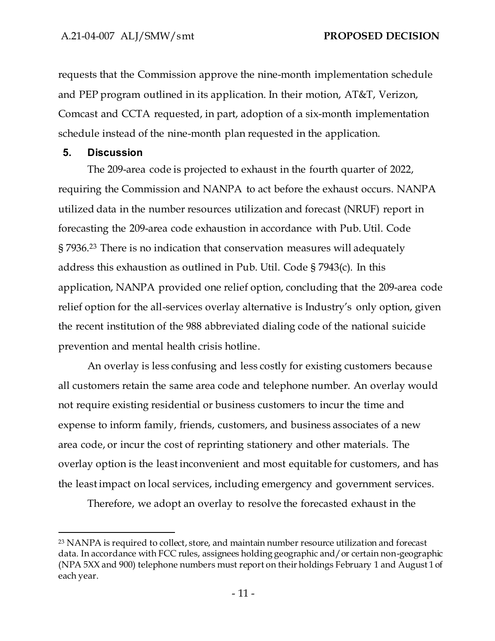requests that the Commission approve the nine-month implementation schedule and PEP program outlined in its application. In their motion, AT&T, Verizon, Comcast and CCTA requested, in part, adoption of a six-month implementation schedule instead of the nine-month plan requested in the application.

#### <span id="page-12-0"></span>**5. Discussion**

The 209-area code is projected to exhaust in the fourth quarter of 2022, requiring the Commission and NANPA to act before the exhaust occurs. NANPA utilized data in the number resources utilization and forecast (NRUF) report in forecasting the 209-area code exhaustion in accordance with Pub. Util. Code § 7936.<sup>23</sup> There is no indication that conservation measures will adequately address this exhaustion as outlined in Pub. Util. Code § 7943(c). In this application, NANPA provided one relief option, concluding that the 209-area code relief option for the all-services overlay alternative is Industry's only option, given the recent institution of the 988 abbreviated dialing code of the national suicide prevention and mental health crisis hotline.

An overlay is less confusing and less costly for existing customers because all customers retain the same area code and telephone number. An overlay would not require existing residential or business customers to incur the time and expense to inform family, friends, customers, and business associates of a new area code, or incur the cost of reprinting stationery and other materials. The overlay option is the least inconvenient and most equitable for customers, and has the least impact on local services, including emergency and government services.

Therefore, we adopt an overlay to resolve the forecasted exhaust in the

<sup>23</sup> NANPA is required to collect, store, and maintain number resource utilization and forecast data. In accordance with FCC rules, assignees holding geographic and/or certain non-geographic (NPA 5XX and 900) telephone numbers must report on their holdings February 1 and August 1 of each year.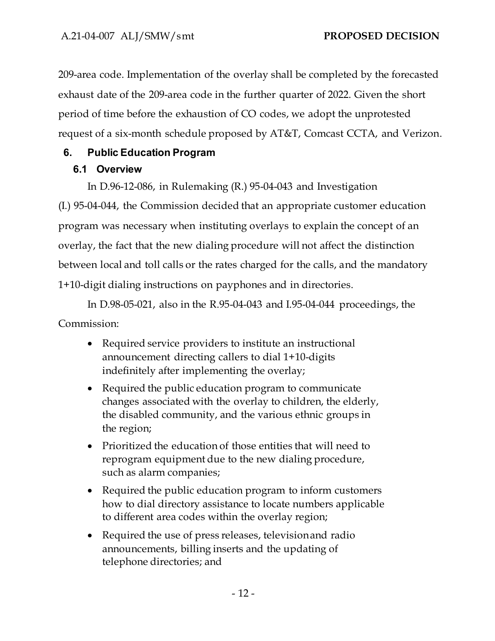209-area code. Implementation of the overlay shall be completed by the forecasted exhaust date of the 209-area code in the further quarter of 2022. Given the short period of time before the exhaustion of CO codes, we adopt the unprotested request of a six-month schedule proposed by AT&T, Comcast CCTA, and Verizon.

## <span id="page-13-1"></span><span id="page-13-0"></span>**6. Public Education Program**

## **6.1 Overview**

In D.96-12-086, in Rulemaking (R.) 95-04-043 and Investigation

(I.) 95-04-044, the Commission decided that an appropriate customer education program was necessary when instituting overlays to explain the concept of an overlay, the fact that the new dialing procedure will not affect the distinction between local and toll calls or the rates charged for the calls, and the mandatory 1+10-digit dialing instructions on payphones and in directories.

In D.98-05-021, also in the R.95-04-043 and I.95-04-044 proceedings, the Commission:

- Required service providers to institute an instructional announcement directing callers to dial 1+10-digits indefinitely after implementing the overlay;
- Required the public education program to communicate changes associated with the overlay to children, the elderly, the disabled community, and the various ethnic groups in the region;
- Prioritized the education of those entities that will need to reprogram equipment due to the new dialing procedure, such as alarm companies;
- Required the public education program to inform customers how to dial directory assistance to locate numbers applicable to different area codes within the overlay region;
- Required the use of press releases, televisionand radio announcements, billing inserts and the updating of telephone directories; and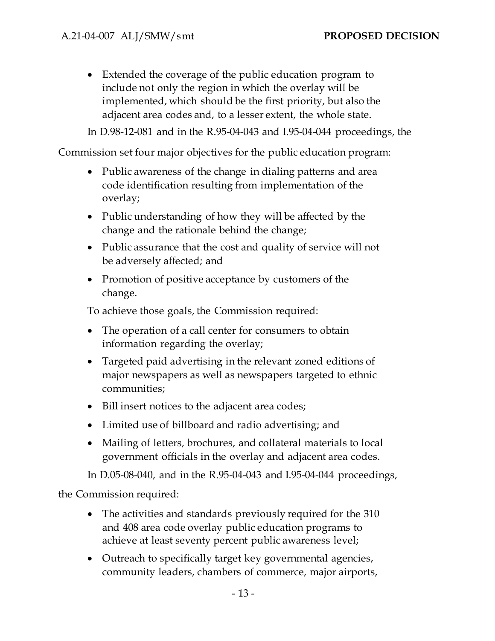• Extended the coverage of the public education program to include not only the region in which the overlay will be implemented, which should be the first priority, but also the adjacent area codes and, to a lesser extent, the whole state.

In D.98-12-081 and in the R.95-04-043 and I.95-04-044 proceedings, the

Commission set four major objectives for the public education program:

- Public awareness of the change in dialing patterns and area code identification resulting from implementation of the overlay;
- Public understanding of how they will be affected by the change and the rationale behind the change;
- Public assurance that the cost and quality of service will not be adversely affected; and
- Promotion of positive acceptance by customers of the change.

To achieve those goals, the Commission required:

- The operation of a call center for consumers to obtain information regarding the overlay;
- Targeted paid advertising in the relevant zoned editions of major newspapers as well as newspapers targeted to ethnic communities;
- Bill insert notices to the adjacent area codes;
- Limited use of billboard and radio advertising; and
- Mailing of letters, brochures, and collateral materials to local government officials in the overlay and adjacent area codes.

In D.05-08-040, and in the R.95-04-043 and I.95-04-044 proceedings,

the Commission required:

- The activities and standards previously required for the 310 and 408 area code overlay public education programs to achieve at least seventy percent public awareness level;
- Outreach to specifically target key governmental agencies, community leaders, chambers of commerce, major airports,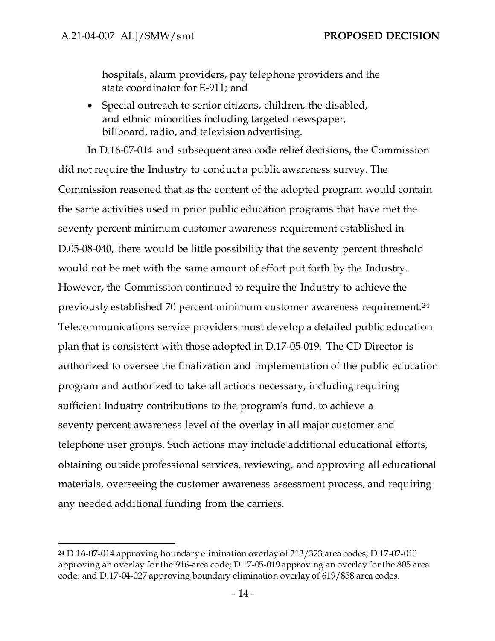hospitals, alarm providers, pay telephone providers and the state coordinator for E-911; and

• Special outreach to senior citizens, children, the disabled, and ethnic minorities including targeted newspaper, billboard, radio, and television advertising.

In D.16-07-014 and subsequent area code relief decisions, the Commission did not require the Industry to conduct a public awareness survey. The Commission reasoned that as the content of the adopted program would contain the same activities used in prior public education programs that have met the seventy percent minimum customer awareness requirement established in D.05-08-040, there would be little possibility that the seventy percent threshold would not be met with the same amount of effort put forth by the Industry. However, the Commission continued to require the Industry to achieve the previously established 70 percent minimum customer awareness requirement.<sup>24</sup> Telecommunications service providers must develop a detailed public education plan that is consistent with those adopted in D.17-05-019. The CD Director is authorized to oversee the finalization and implementation of the public education program and authorized to take all actions necessary, including requiring sufficient Industry contributions to the program's fund, to achieve a seventy percent awareness level of the overlay in all major customer and telephone user groups. Such actions may include additional educational efforts, obtaining outside professional services, reviewing, and approving all educational materials, overseeing the customer awareness assessment process, and requiring any needed additional funding from the carriers.

<sup>24</sup> D.16-07-014 approving boundary elimination overlay of 213/323 area codes; D.17-02-010 approving an overlay for the 916-area code; D.17-05-019 approving an overlay for the 805 area code; and D.17-04-027 approving boundary elimination overlay of 619/858 area codes.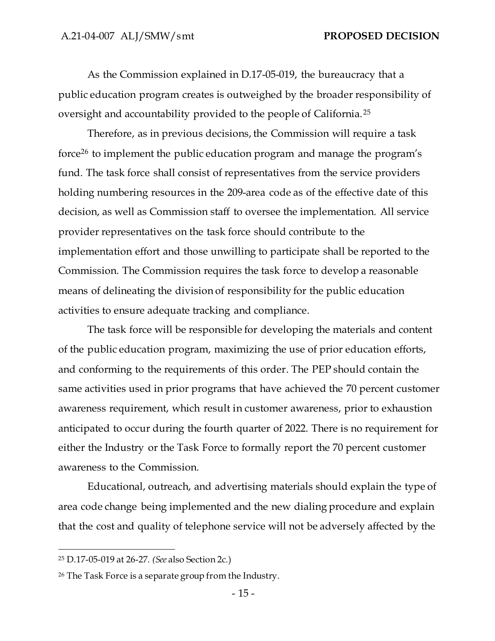As the Commission explained in D.17-05-019, the bureaucracy that a public education program creates is outweighed by the broader responsibility of oversight and accountability provided to the people of California.<sup>25</sup>

Therefore, as in previous decisions, the Commission will require a task force <sup>26</sup> to implement the public education program and manage the program's fund. The task force shall consist of representatives from the service providers holding numbering resources in the 209-area code as of the effective date of this decision, as well as Commission staff to oversee the implementation. All service provider representatives on the task force should contribute to the implementation effort and those unwilling to participate shall be reported to the Commission. The Commission requires the task force to develop a reasonable means of delineating the division of responsibility for the public education activities to ensure adequate tracking and compliance.

The task force will be responsible for developing the materials and content of the public education program, maximizing the use of prior education efforts, and conforming to the requirements of this order. The PEP should contain the same activities used in prior programs that have achieved the 70 percent customer awareness requirement, which result in customer awareness, prior to exhaustion anticipated to occur during the fourth quarter of 2022. There is no requirement for either the Industry or the Task Force to formally report the 70 percent customer awareness to the Commission.

Educational, outreach, and advertising materials should explain the type of area code change being implemented and the new dialing procedure and explain that the cost and quality of telephone service will not be adversely affected by the

<sup>25</sup> D.17-05-019 at 26-27. *(See* also Section 2c.)

<sup>26</sup> The Task Force is a separate group from the Industry.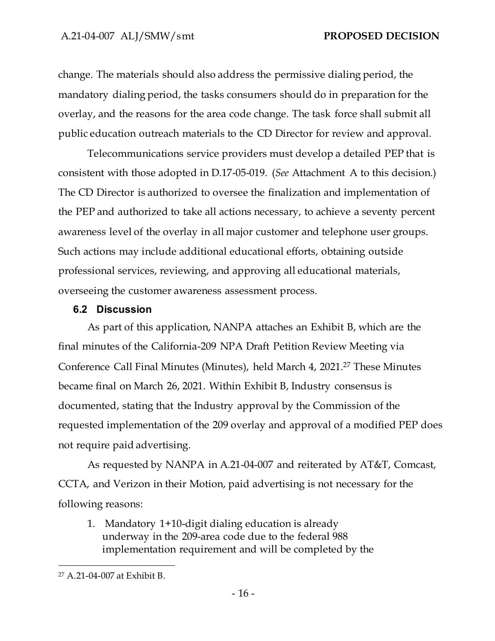change. The materials should also address the permissive dialing period, the mandatory dialing period, the tasks consumers should do in preparation for the overlay, and the reasons for the area code change. The task force shall submit all public education outreach materials to the CD Director for review and approval.

Telecommunications service providers must develop a detailed PEP that is consistent with those adopted in D.17-05-019. (*See* Attachment A to this decision.) The CD Director is authorized to oversee the finalization and implementation of the PEP and authorized to take all actions necessary, to achieve a seventy percent awareness level of the overlay in all major customer and telephone user groups. Such actions may include additional educational efforts, obtaining outside professional services, reviewing, and approving all educational materials, overseeing the customer awareness assessment process.

## <span id="page-17-0"></span>**6.2 Discussion**

As part of this application, NANPA attaches an Exhibit B, which are the final minutes of the California-209 NPA Draft Petition Review Meeting via Conference Call Final Minutes (Minutes), held March 4, 2021. <sup>27</sup> These Minutes became final on March 26, 2021. Within Exhibit B, Industry consensus is documented, stating that the Industry approval by the Commission of the requested implementation of the 209 overlay and approval of a modified PEP does not require paid advertising.

As requested by NANPA in A.21-04-007 and reiterated by AT&T, Comcast, CCTA, and Verizon in their Motion, paid advertising is not necessary for the following reasons:

1. Mandatory 1+10-digit dialing education is already underway in the 209-area code due to the federal 988 implementation requirement and will be completed by the

<sup>27</sup> A.21-04-007 at Exhibit B.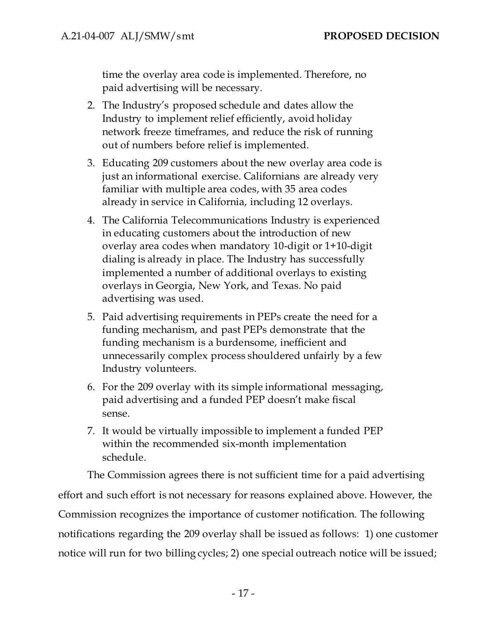time the overlay area code is implemented. Therefore, no paid advertising will be necessary.

- 2. The Industry's proposed schedule and dates allow the Industry to implement relief efficiently, avoid holiday network freeze timeframes, and reduce the risk of running out of numbers before relief is implemented.
- 3. Educating 209 customers about the new overlay area code is just an informational exercise. Californians are already very familiar with multiple area codes, with 35 area codes already in service in California, including 12 overlays.
- 4. The California Telecommunications Industry is experienced in educating customers about the introduction of new overlay area codes when mandatory 10-digit or 1+10-digit dialing is already in place. The Industry has successfully implemented a number of additional overlays to existing overlays in Georgia, New York, and Texas. No paid advertising was used.
- 5. Paid advertising requirements in PEPs create the need for a funding mechanism, and past PEPs demonstrate that the funding mechanism is a burdensome, inefficient and unnecessarily complex process shouldered unfairly by a few Industry volunteers.
- 6. For the 209 overlay with its simple informational messaging, paid advertising and a funded PEP doesn't make fiscal sense.
- 7. It would be virtually impossible to implement a funded PEP within the recommended six-month implementation schedule.

The Commission agrees there is not sufficient time for a paid advertising

effort and such effort is not necessary for reasons explained above. However, the Commission recognizes the importance of customer notification. The following notifications regarding the 209 overlay shall be issued as follows: 1) one customer notice will run for two billing cycles; 2) one special outreach notice will be issued;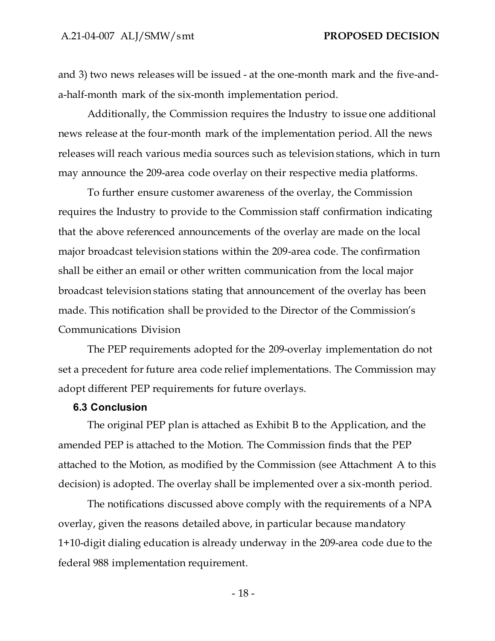and 3) two news releases will be issued - at the one-month mark and the five-anda-half-month mark of the six-month implementation period.

Additionally, the Commission requires the Industry to issue one additional news release at the four-month mark of the implementation period. All the news releases will reach various media sources such as television stations, which in turn may announce the 209-area code overlay on their respective media platforms.

To further ensure customer awareness of the overlay, the Commission requires the Industry to provide to the Commission staff confirmation indicating that the above referenced announcements of the overlay are made on the local major broadcast television stations within the 209-area code. The confirmation shall be either an email or other written communication from the local major broadcast television stations stating that announcement of the overlay has been made. This notification shall be provided to the Director of the Commission's Communications Division

The PEP requirements adopted for the 209-overlay implementation do not set a precedent for future area code relief implementations. The Commission may adopt different PEP requirements for future overlays.

#### <span id="page-19-0"></span>**6.3 Conclusion**

The original PEP plan is attached as Exhibit B to the Application, and the amended PEP is attached to the Motion. The Commission finds that the PEP attached to the Motion, as modified by the Commission (see Attachment A to this decision) is adopted. The overlay shall be implemented over a six-month period.

The notifications discussed above comply with the requirements of a NPA overlay, given the reasons detailed above, in particular because mandatory 1+10-digit dialing education is already underway in the 209-area code due to the federal 988 implementation requirement.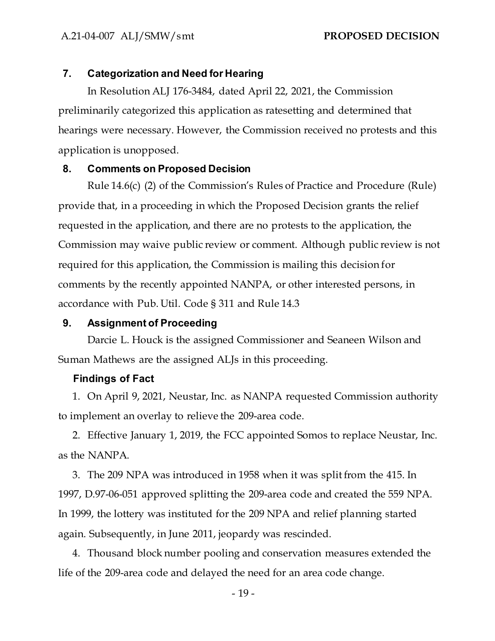## <span id="page-20-0"></span>**7. Categorization and Need for Hearing**

In Resolution ALJ 176-3484, dated April 22, 2021, the Commission preliminarily categorized this application as ratesetting and determined that hearings were necessary. However, the Commission received no protests and this application is unopposed.

## <span id="page-20-1"></span>**8. Comments on Proposed Decision**

Rule 14.6(c) (2) of the Commission's Rules of Practice and Procedure (Rule) provide that, in a proceeding in which the Proposed Decision grants the relief requested in the application, and there are no protests to the application, the Commission may waive public review or comment. Although public review is not required for this application, the Commission is mailing this decision for comments by the recently appointed NANPA, or other interested persons, in accordance with Pub. Util. Code § 311 and Rule 14.3

#### <span id="page-20-2"></span>**9. Assignment of Proceeding**

Darcie L. Houck is the assigned Commissioner and Seaneen Wilson and Suman Mathews are the assigned ALJs in this proceeding.

#### **Findings of Fact**

1. On April 9, 2021, Neustar, Inc. as NANPA requested Commission authority to implement an overlay to relieve the 209-area code.

2. Effective January 1, 2019, the FCC appointed Somos to replace Neustar, Inc. as the NANPA.

3. The 209 NPA was introduced in 1958 when it was split from the 415. In 1997, D.97-06-051 approved splitting the 209-area code and created the 559 NPA. In 1999, the lottery was instituted for the 209 NPA and relief planning started again. Subsequently, in June 2011, jeopardy was rescinded.

4. Thousand block number pooling and conservation measures extended the life of the 209-area code and delayed the need for an area code change.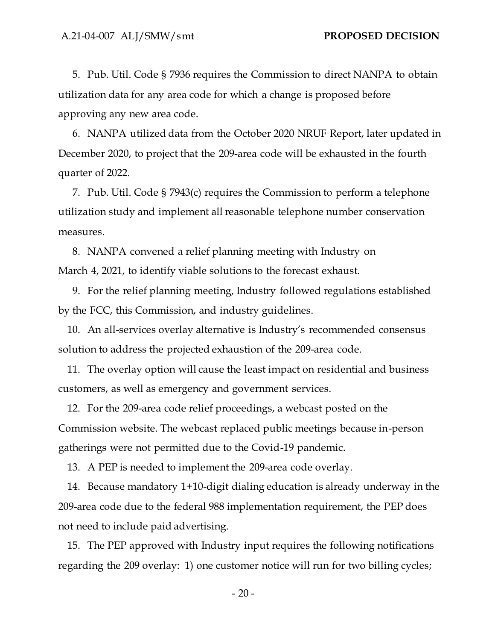5. Pub. Util. Code § 7936 requires the Commission to direct NANPA to obtain utilization data for any area code for which a change is proposed before approving any new area code.

6. NANPA utilized data from the October 2020 NRUF Report, later updated in December 2020, to project that the 209-area code will be exhausted in the fourth quarter of 2022.

7. Pub. Util. Code § 7943(c) requires the Commission to perform a telephone utilization study and implement all reasonable telephone number conservation measures.

8. NANPA convened a relief planning meeting with Industry on March 4, 2021, to identify viable solutions to the forecast exhaust.

9. For the relief planning meeting, Industry followed regulations established by the FCC, this Commission, and industry guidelines.

10. An all-services overlay alternative is Industry's recommended consensus solution to address the projected exhaustion of the 209-area code.

11. The overlay option will cause the least impact on residential and business customers, as well as emergency and government services.

12. For the 209-area code relief proceedings, a webcast posted on the Commission website. The webcast replaced public meetings because in-person gatherings were not permitted due to the Covid-19 pandemic.

13. A PEP is needed to implement the 209-area code overlay.

14. Because mandatory 1+10-digit dialing education is already underway in the 209-area code due to the federal 988 implementation requirement, the PEP does not need to include paid advertising.

15. The PEP approved with Industry input requires the following notifications regarding the 209 overlay: 1) one customer notice will run for two billing cycles;

 $-20-$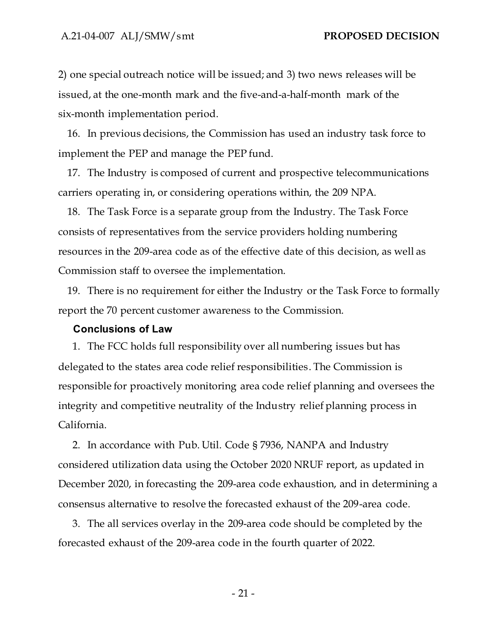2) one special outreach notice will be issued; and 3) two news releases will be issued, at the one-month mark and the five-and-a-half-month mark of the six-month implementation period.

16. In previous decisions, the Commission has used an industry task force to implement the PEP and manage the PEP fund.

17. The Industry is composed of current and prospective telecommunications carriers operating in, or considering operations within, the 209 NPA.

18. The Task Force is a separate group from the Industry. The Task Force consists of representatives from the service providers holding numbering resources in the 209-area code as of the effective date of this decision, as well as Commission staff to oversee the implementation.

19. There is no requirement for either the Industry or the Task Force to formally report the 70 percent customer awareness to the Commission.

#### **Conclusions of Law**

1. The FCC holds full responsibility over all numbering issues but has delegated to the states area code relief responsibilities. The Commission is responsible for proactively monitoring area code relief planning and oversees the integrity and competitive neutrality of the Industry relief planning process in California.

2. In accordance with Pub. Util. Code § 7936, NANPA and Industry considered utilization data using the October 2020 NRUF report, as updated in December 2020, in forecasting the 209-area code exhaustion, and in determining a consensus alternative to resolve the forecasted exhaust of the 209-area code.

3. The all services overlay in the 209-area code should be completed by the forecasted exhaust of the 209-area code in the fourth quarter of 2022.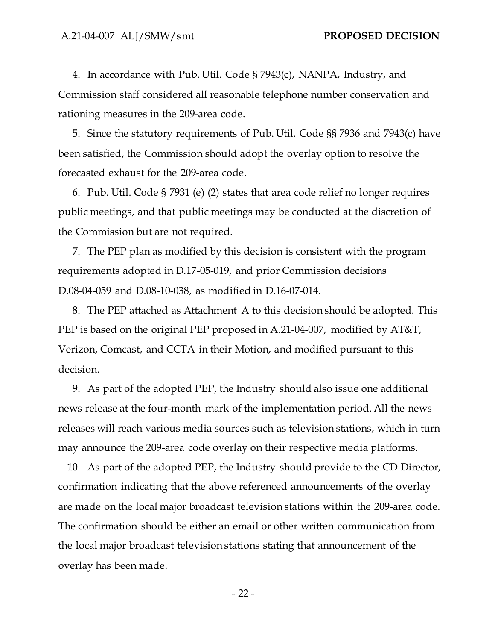4. In accordance with Pub. Util. Code § 7943(c), NANPA, Industry, and Commission staff considered all reasonable telephone number conservation and rationing measures in the 209-area code.

5. Since the statutory requirements of Pub. Util. Code §§ 7936 and 7943(c) have been satisfied, the Commission should adopt the overlay option to resolve the forecasted exhaust for the 209-area code.

6. Pub. Util. Code § 7931 (e) (2) states that area code relief no longer requires public meetings, and that public meetings may be conducted at the discretion of the Commission but are not required.

7. The PEP plan as modified by this decision is consistent with the program requirements adopted in D.17-05-019, and prior Commission decisions D.08-04-059 and D.08-10-038, as modified in D.16-07-014.

8. The PEP attached as Attachment A to this decision should be adopted. This PEP is based on the original PEP proposed in A.21-04-007, modified by AT&T, Verizon, Comcast, and CCTA in their Motion, and modified pursuant to this decision.

9. As part of the adopted PEP, the Industry should also issue one additional news release at the four-month mark of the implementation period. All the news releases will reach various media sources such as television stations, which in turn may announce the 209-area code overlay on their respective media platforms.

10. As part of the adopted PEP, the Industry should provide to the CD Director, confirmation indicating that the above referenced announcements of the overlay are made on the local major broadcast television stations within the 209-area code. The confirmation should be either an email or other written communication from the local major broadcast television stations stating that announcement of the overlay has been made.

- 22 -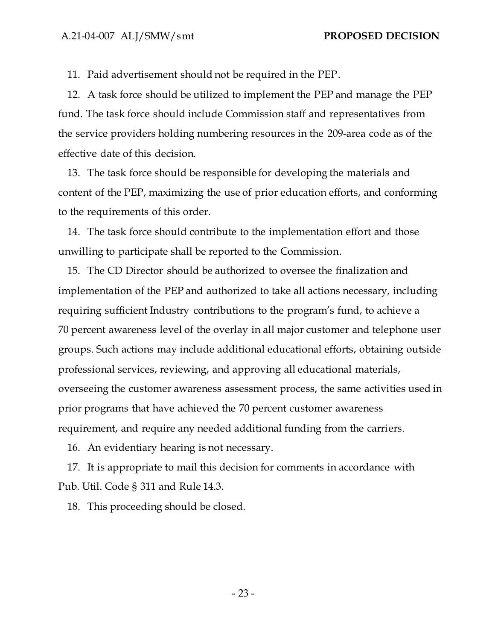11. Paid advertisement should not be required in the PEP.

12. A task force should be utilized to implement the PEP and manage the PEP fund. The task force should include Commission staff and representatives from the service providers holding numbering resources in the 209-area code as of the effective date of this decision.

13. The task force should be responsible for developing the materials and content of the PEP, maximizing the use of prior education efforts, and conforming to the requirements of this order.

14. The task force should contribute to the implementation effort and those unwilling to participate shall be reported to the Commission.

15. The CD Director should be authorized to oversee the finalization and implementation of the PEP and authorized to take all actions necessary, including requiring sufficient Industry contributions to the program's fund, to achieve a 70 percent awareness level of the overlay in all major customer and telephone user groups. Such actions may include additional educational efforts, obtaining outside professional services, reviewing, and approving all educational materials, overseeing the customer awareness assessment process, the same activities used in prior programs that have achieved the 70 percent customer awareness requirement, and require any needed additional funding from the carriers.

16. An evidentiary hearing is not necessary.

17. It is appropriate to mail this decision for comments in accordance with Pub. Util. Code § 311 and Rule 14.3.

18. This proceeding should be closed.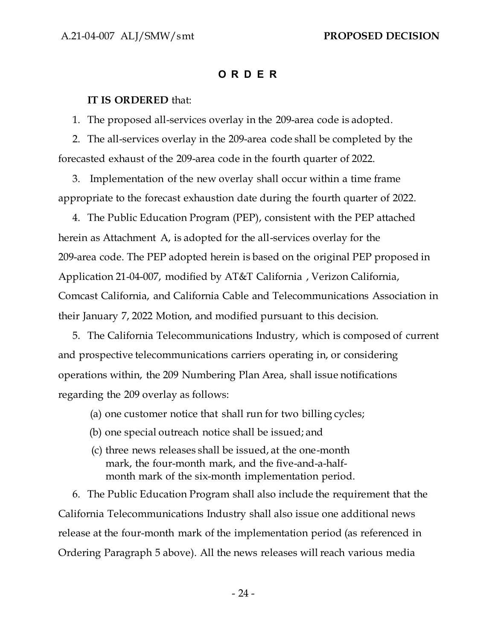#### **O R D E R**

#### **IT IS ORDERED** that:

1. The proposed all-services overlay in the 209-area code is adopted.

2. The all-services overlay in the 209-area code shall be completed by the forecasted exhaust of the 209-area code in the fourth quarter of 2022.

3. Implementation of the new overlay shall occur within a time frame appropriate to the forecast exhaustion date during the fourth quarter of 2022.

4. The Public Education Program (PEP), consistent with the PEP attached herein as Attachment A, is adopted for the all-services overlay for the 209-area code. The PEP adopted herein is based on the original PEP proposed in Application 21-04-007, modified by AT&T California , Verizon California, Comcast California, and California Cable and Telecommunications Association in their January 7, 2022 Motion, and modified pursuant to this decision.

5. The California Telecommunications Industry, which is composed of current and prospective telecommunications carriers operating in, or considering operations within, the 209 Numbering Plan Area, shall issue notifications regarding the 209 overlay as follows:

- (a) one customer notice that shall run for two billing cycles;
- (b) one special outreach notice shall be issued; and
- (c) three news releases shall be issued, at the one-month mark, the four-month mark, and the five-and-a-halfmonth mark of the six-month implementation period.

6. The Public Education Program shall also include the requirement that the California Telecommunications Industry shall also issue one additional news release at the four-month mark of the implementation period (as referenced in Ordering Paragraph 5 above). All the news releases will reach various media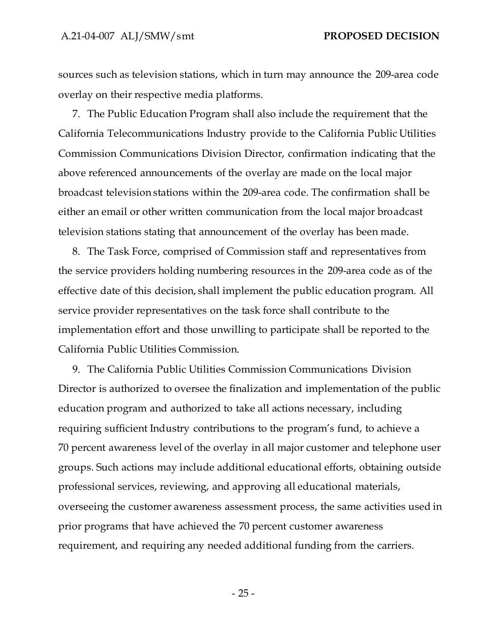sources such as television stations, which in turn may announce the 209-area code overlay on their respective media platforms.

7. The Public Education Program shall also include the requirement that the California Telecommunications Industry provide to the California Public Utilities Commission Communications Division Director, confirmation indicating that the above referenced announcements of the overlay are made on the local major broadcast television stations within the 209-area code. The confirmation shall be either an email or other written communication from the local major broadcast television stations stating that announcement of the overlay has been made.

8. The Task Force, comprised of Commission staff and representatives from the service providers holding numbering resources in the 209-area code as of the effective date of this decision, shall implement the public education program. All service provider representatives on the task force shall contribute to the implementation effort and those unwilling to participate shall be reported to the California Public Utilities Commission.

9. The California Public Utilities Commission Communications Division Director is authorized to oversee the finalization and implementation of the public education program and authorized to take all actions necessary, including requiring sufficient Industry contributions to the program's fund, to achieve a 70 percent awareness level of the overlay in all major customer and telephone user groups. Such actions may include additional educational efforts, obtaining outside professional services, reviewing, and approving all educational materials, overseeing the customer awareness assessment process, the same activities used in prior programs that have achieved the 70 percent customer awareness requirement, and requiring any needed additional funding from the carriers.

 $- 25 -$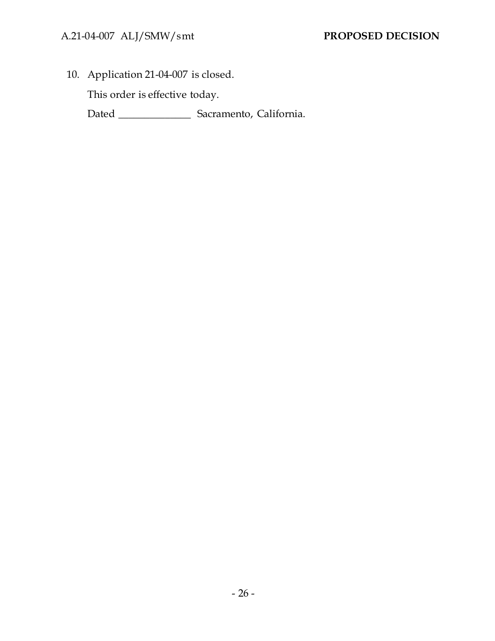10. Application 21-04-007 is closed.

This order is effective today.

Dated \_\_\_\_\_\_\_\_\_\_\_\_\_\_ Sacramento, California.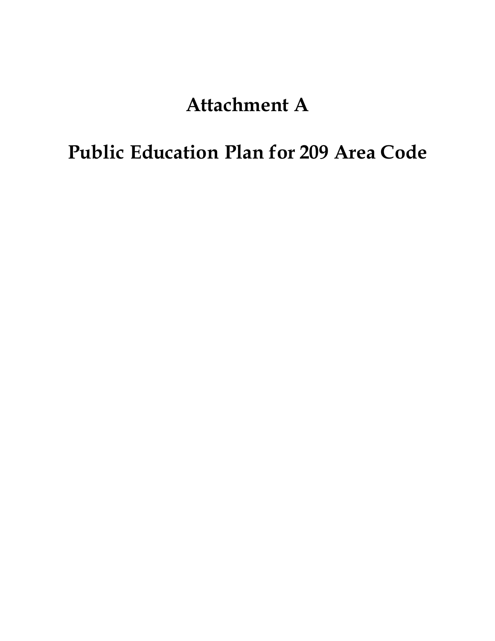# **Attachment A**

# **Public Education Plan for 209 Area Code**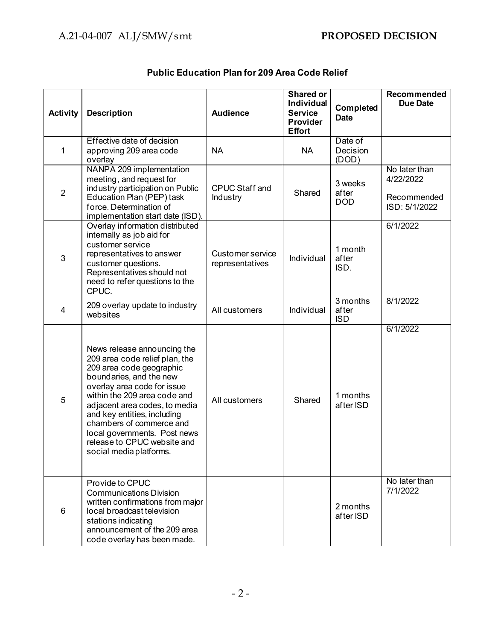| <b>Activity</b> | <b>Description</b>                                                                                                                                                                                                                                                                                                                                                        | <b>Audience</b>                            | Shared or<br>Individual<br><b>Service</b><br>Provider<br><b>Effort</b> | Completed<br><b>Date</b>        | Recommended<br><b>Due Date</b>                             |
|-----------------|---------------------------------------------------------------------------------------------------------------------------------------------------------------------------------------------------------------------------------------------------------------------------------------------------------------------------------------------------------------------------|--------------------------------------------|------------------------------------------------------------------------|---------------------------------|------------------------------------------------------------|
| 1               | Effective date of decision<br>approving 209 area code<br>overlay                                                                                                                                                                                                                                                                                                          | <b>NA</b>                                  | <b>NA</b>                                                              | Date of<br>Decision<br>(DOD)    |                                                            |
| $\overline{2}$  | NANPA 209 implementation<br>meeting, and request for<br>industry participation on Public<br>Education Plan (PEP) task<br>force. Determination of<br>implementation start date (ISD).                                                                                                                                                                                      | <b>CPUC Staff and</b><br>Industry          | Shared                                                                 | 3 weeks<br>after<br><b>DOD</b>  | No later than<br>4/22/2022<br>Recommended<br>ISD: 5/1/2022 |
| 3               | Overlay information distributed<br>internally as job aid for<br>customer service<br>representatives to answer<br>customer questions.<br>Representatives should not<br>need to refer questions to the<br>CPUC.                                                                                                                                                             | <b>Customer service</b><br>representatives | Individual                                                             | 1 month<br>after<br>ISD.        | 6/1/2022                                                   |
| $\overline{4}$  | 209 overlay update to industry<br>websites                                                                                                                                                                                                                                                                                                                                | All customers                              | Individual                                                             | 3 months<br>after<br><b>ISD</b> | 8/1/2022                                                   |
| 5               | News release announcing the<br>209 area code relief plan, the<br>209 area code geographic<br>boundaries, and the new<br>overlay area code for issue<br>within the 209 area code and<br>adjacent area codes, to media<br>and key entities, including<br>chambers of commerce and<br>local governments. Post news<br>release to CPUC website and<br>social media platforms. | All customers                              | Shared                                                                 | 1 months<br>after ISD           | 6/1/2022                                                   |
| 6               | Provide to CPUC<br><b>Communications Division</b><br>written confirmations from major<br>local broadcast television<br>stations indicating<br>announcement of the 209 area<br>code overlay has been made.                                                                                                                                                                 |                                            |                                                                        | 2 months<br>after ISD           | No later than<br>7/1/2022                                  |

## **Public Education Plan for 209 Area Code Relief**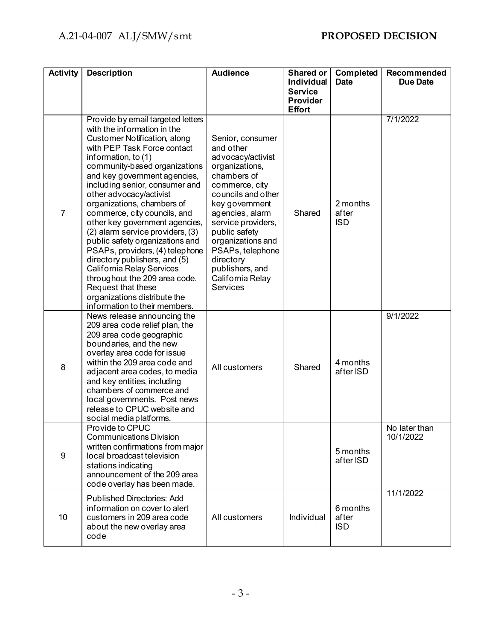| <b>Activity</b> | <b>Description</b>                                                                                                                                                                                                                                                                                                                                                                                                                                                                                                                                                                                                                                                                   | <b>Audience</b>                                                                                                                                                                                                                                                                                                         | <b>Shared or</b><br><b>Individual</b>              | Completed<br><b>Date</b>        | Recommended<br><b>Due Date</b> |
|-----------------|--------------------------------------------------------------------------------------------------------------------------------------------------------------------------------------------------------------------------------------------------------------------------------------------------------------------------------------------------------------------------------------------------------------------------------------------------------------------------------------------------------------------------------------------------------------------------------------------------------------------------------------------------------------------------------------|-------------------------------------------------------------------------------------------------------------------------------------------------------------------------------------------------------------------------------------------------------------------------------------------------------------------------|----------------------------------------------------|---------------------------------|--------------------------------|
|                 |                                                                                                                                                                                                                                                                                                                                                                                                                                                                                                                                                                                                                                                                                      |                                                                                                                                                                                                                                                                                                                         | <b>Service</b><br><b>Provider</b><br><b>Effort</b> |                                 |                                |
| $\overline{7}$  | Provide by email targeted letters<br>with the information in the<br>Customer Notification, along<br>with PEP Task Force contact<br>information, to (1)<br>community-based organizations<br>and key government agencies,<br>including senior, consumer and<br>other advocacy/activist<br>organizations, chambers of<br>commerce, city councils, and<br>other key government agencies,<br>(2) alarm service providers, (3)<br>public safety organizations and<br>PSAPs, providers, (4) telephone<br>directory publishers, and (5)<br>California Relay Services<br>throughout the 209 area code.<br>Request that these<br>organizations distribute the<br>information to their members. | Senior, consumer<br>and other<br>advocacy/activist<br>organizations,<br>chambers of<br>commerce, city<br>councils and other<br>key government<br>agencies, alarm<br>service providers,<br>public safety<br>organizations and<br>PSAPs, telephone<br>directory<br>publishers, and<br>California Relay<br><b>Services</b> | Shared                                             | 2 months<br>after<br><b>ISD</b> | 7/1/2022                       |
| 8               | News release announcing the<br>209 area code relief plan, the<br>209 area code geographic<br>boundaries, and the new<br>overlay area code for issue<br>within the 209 area code and<br>adjacent area codes, to media<br>and key entities, including<br>chambers of commerce and<br>local governments. Post news<br>release to CPUC website and<br>social media platforms.                                                                                                                                                                                                                                                                                                            | All customers                                                                                                                                                                                                                                                                                                           | Shared                                             | 4 months<br>after ISD           | 9/1/2022                       |
| 9               | Provide to CPUC<br><b>Communications Division</b><br>written confirmations from major<br>local broadcast television<br>stations indicating<br>announcement of the 209 area<br>code overlay has been made.                                                                                                                                                                                                                                                                                                                                                                                                                                                                            |                                                                                                                                                                                                                                                                                                                         |                                                    | 5 months<br>after ISD           | No later than<br>10/1/2022     |
| 10              | <b>Published Directories: Add</b><br>information on cover to alert<br>customers in 209 area code<br>about the new overlay area<br>code                                                                                                                                                                                                                                                                                                                                                                                                                                                                                                                                               | All customers                                                                                                                                                                                                                                                                                                           | Individual                                         | 6 months<br>after<br><b>ISD</b> | 11/1/2022                      |